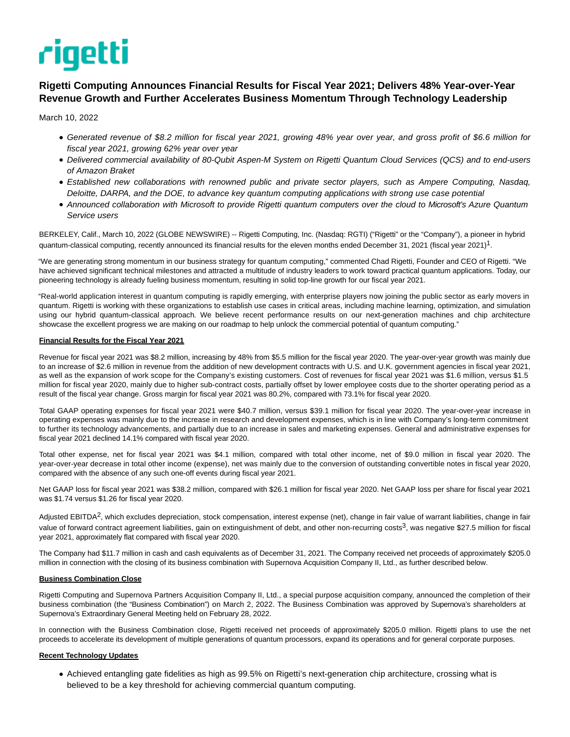# rigetti

# **Rigetti Computing Announces Financial Results for Fiscal Year 2021; Delivers 48% Year-over-Year Revenue Growth and Further Accelerates Business Momentum Through Technology Leadership**

March 10, 2022

- Generated revenue of \$8.2 million for fiscal year 2021, growing 48% year over year, and gross profit of \$6.6 million for fiscal year 2021, growing 62% year over year
- Delivered commercial availability of 80-Qubit Aspen-M System on Rigetti Quantum Cloud Services (QCS) and to end-users of Amazon Braket
- Established new collaborations with renowned public and private sector players, such as Ampere Computing, Nasdaq, Deloitte, DARPA, and the DOE, to advance key quantum computing applications with strong use case potential
- Announced collaboration with Microsoft to provide Rigetti quantum computers over the cloud to Microsoft's Azure Quantum Service users

BERKELEY, Calif., March 10, 2022 (GLOBE NEWSWIRE) -- Rigetti Computing, Inc. (Nasdaq: RGTI) ("Rigetti" or the "Company"), a pioneer in hybrid quantum-classical computing, recently announced its financial results for the eleven months ended December 31, 2021 (fiscal year 2021)<sup>1</sup>.

"We are generating strong momentum in our business strategy for quantum computing," commented Chad Rigetti, Founder and CEO of Rigetti. "We have achieved significant technical milestones and attracted a multitude of industry leaders to work toward practical quantum applications. Today, our pioneering technology is already fueling business momentum, resulting in solid top-line growth for our fiscal year 2021.

"Real-world application interest in quantum computing is rapidly emerging, with enterprise players now joining the public sector as early movers in quantum. Rigetti is working with these organizations to establish use cases in critical areas, including machine learning, optimization, and simulation using our hybrid quantum-classical approach. We believe recent performance results on our next-generation machines and chip architecture showcase the excellent progress we are making on our roadmap to help unlock the commercial potential of quantum computing."

## **Financial Results for the Fiscal Year 2021**

Revenue for fiscal year 2021 was \$8.2 million, increasing by 48% from \$5.5 million for the fiscal year 2020. The year-over-year growth was mainly due to an increase of \$2.6 million in revenue from the addition of new development contracts with U.S. and U.K. government agencies in fiscal year 2021, as well as the expansion of work scope for the Company's existing customers. Cost of revenues for fiscal year 2021 was \$1.6 million, versus \$1.5 million for fiscal year 2020, mainly due to higher sub-contract costs, partially offset by lower employee costs due to the shorter operating period as a result of the fiscal year change. Gross margin for fiscal year 2021 was 80.2%, compared with 73.1% for fiscal year 2020.

Total GAAP operating expenses for fiscal year 2021 were \$40.7 million, versus \$39.1 million for fiscal year 2020. The year-over-year increase in operating expenses was mainly due to the increase in research and development expenses, which is in line with Company's long-term commitment to further its technology advancements, and partially due to an increase in sales and marketing expenses. General and administrative expenses for fiscal year 2021 declined 14.1% compared with fiscal year 2020.

Total other expense, net for fiscal year 2021 was \$4.1 million, compared with total other income, net of \$9.0 million in fiscal year 2020. The year-over-year decrease in total other income (expense), net was mainly due to the conversion of outstanding convertible notes in fiscal year 2020, compared with the absence of any such one-off events during fiscal year 2021.

Net GAAP loss for fiscal year 2021 was \$38.2 million, compared with \$26.1 million for fiscal year 2020. Net GAAP loss per share for fiscal year 2021 was \$1.74 versus \$1.26 for fiscal year 2020.

Adjusted EBITDA<sup>2</sup>, which excludes depreciation, stock compensation, interest expense (net), change in fair value of warrant liabilities, change in fair value of forward contract agreement liabilities, gain on extinguishment of debt, and other non-recurring costs<sup>3</sup>, was negative \$27.5 million for fiscal year 2021, approximately flat compared with fiscal year 2020.

The Company had \$11.7 million in cash and cash equivalents as of December 31, 2021. The Company received net proceeds of approximately \$205.0 million in connection with the closing of its business combination with Supernova Acquisition Company II, Ltd., as further described below.

# **Business Combination Close**

Rigetti Computing and Supernova Partners Acquisition Company II, Ltd., a special purpose acquisition company, announced the completion of their business combination (the "Business Combination") on March 2, 2022. The Business Combination was approved by Supernova's shareholders at Supernova's Extraordinary General Meeting held on February 28, 2022.

In connection with the Business Combination close, Rigetti received net proceeds of approximately \$205.0 million. Rigetti plans to use the net proceeds to accelerate its development of multiple generations of quantum processors, expand its operations and for general corporate purposes.

# **Recent Technology Updates**

Achieved entangling gate fidelities as high as 99.5% on Rigetti's next-generation chip architecture, crossing what is believed to be a key threshold for achieving commercial quantum computing.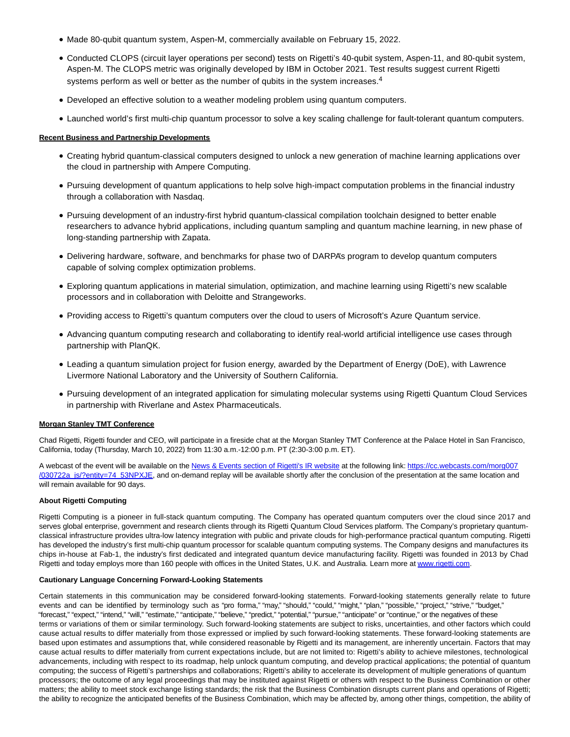- Made 80-qubit quantum system, Aspen-M, commercially available on February 15, 2022.
- Conducted CLOPS (circuit layer operations per second) tests on Rigetti's 40-qubit system, Aspen-11, and 80-qubit system, Aspen-M. The CLOPS metric was originally developed by IBM in October 2021. Test results suggest current Rigetti systems perform as well or better as the number of qubits in the system increases.<sup>4</sup>
- Developed an effective solution to a weather modeling problem using quantum computers.
- Launched world's first multi-chip quantum processor to solve a key scaling challenge for fault-tolerant quantum computers.

# **Recent Business and Partnership Developments**

- Creating hybrid quantum-classical computers designed to unlock a new generation of machine learning applications over the cloud in partnership with Ampere Computing.
- Pursuing development of quantum applications to help solve high-impact computation problems in the financial industry through a collaboration with Nasdaq.
- Pursuing development of an industry-first hybrid quantum-classical compilation toolchain designed to better enable researchers to advance hybrid applications, including quantum sampling and quantum machine learning, in new phase of long-standing partnership with Zapata.
- Delivering hardware, software, and benchmarks for phase two of DARPA's program to develop quantum computers capable of solving complex optimization problems.
- Exploring quantum applications in material simulation, optimization, and machine learning using Rigetti's new scalable processors and in collaboration with Deloitte and Strangeworks.
- Providing access to Rigetti's quantum computers over the cloud to users of Microsoft's Azure Quantum service.
- Advancing quantum computing research and collaborating to identify real-world artificial intelligence use cases through partnership with PlanQK.
- Leading a quantum simulation project for fusion energy, awarded by the Department of Energy (DoE), with Lawrence Livermore National Laboratory and the University of Southern California.
- Pursuing development of an integrated application for simulating molecular systems using Rigetti Quantum Cloud Services in partnership with Riverlane and Astex Pharmaceuticals.

#### **Morgan Stanley TMT Conference**

Chad Rigetti, Rigetti founder and CEO, will participate in a fireside chat at the Morgan Stanley TMT Conference at the Palace Hotel in San Francisco, California, today (Thursday, March 10, 2022) from 11:30 a.m.-12:00 p.m. PT (2:30-3:00 p.m. ET).

A webcast of the event will be available on the [News & Events section of Rigetti's IR website a](https://www.globenewswire.com/Tracker?data=rE-UeNtJg9e1VingJQsItAuFk_OpaEvAbqJu0NHaLh-GubK__mCVb8PzCwJmtY0G1wes6tkUIhffUw9QieJ2v1DSGVj-1JJyycdVOU_RtehSffu0BkZa7U6MD92T777oy1EQTJpQYKzXHvGTxWqWqpVCgFFWSYot4EZt631UOPY=)t the following link: [https://cc.webcasts.com/morg007](https://www.globenewswire.com/Tracker?data=P9pcAvtOn6yBeqCC4qeHcLJyoJA1kxjjq3bnmNaP4-dw3UJWZDwP-DJj0k3qiA-tr2N2FRHGrBWmjmwnRZ9GTiKK9ozzYakwriaiNOZHnJnWh-SltWD8qH3P6wctJxBBjjyzPxyq8_ayQhe6L_CA1MWcbxM_q4UC4Y_MZCrsuvtDN6V55D-8ac1TF41l8BtH6i-mEHNuSayitQevrLFC8w==) /030722a\_js/?entity=74\_53NPXJE, and on-demand replay will be available shortly after the conclusion of the presentation at the same location and will remain available for 90 days.

#### **About Rigetti Computing**

Rigetti Computing is a pioneer in full-stack quantum computing. The Company has operated quantum computers over the cloud since 2017 and serves global enterprise, government and research clients through its Rigetti Quantum Cloud Services platform. The Company's proprietary quantumclassical infrastructure provides ultra-low latency integration with public and private clouds for high-performance practical quantum computing. Rigetti has developed the industry's first multi-chip quantum processor for scalable quantum computing systems. The Company designs and manufactures its chips in-house at Fab-1, the industry's first dedicated and integrated quantum device manufacturing facility. Rigetti was founded in 2013 by Chad Rigetti and today employs more than 160 people with offices in the United States, U.K. and Australia. Learn more at [www.rigetti.com.](https://www.globenewswire.com/Tracker?data=KtCJ4fhlcbwRNxDtTS-Zn4oUl0NRpqY8LaYPCUQnpobKwEnVxExnmWALSHn_4HkwAg9ftAyZLGsZMFym5MYGJw==)

#### **Cautionary Language Concerning Forward-Looking Statements**

Certain statements in this communication may be considered forward-looking statements. Forward-looking statements generally relate to future events and can be identified by terminology such as "pro forma," "may," "should," "could," "might," "plan," "possible," "project," "strive," "budget," "forecast," "expect," "intend," "will," "estimate," "anticipate," "believe," "predict," "potential," "pursue," "anticipate" or "continue," or the negatives of these terms or variations of them or similar terminology. Such forward-looking statements are subject to risks, uncertainties, and other factors which could cause actual results to differ materially from those expressed or implied by such forward-looking statements. These forward-looking statements are based upon estimates and assumptions that, while considered reasonable by Rigetti and its management, are inherently uncertain. Factors that may cause actual results to differ materially from current expectations include, but are not limited to: Rigetti's ability to achieve milestones, technological advancements, including with respect to its roadmap, help unlock quantum computing, and develop practical applications; the potential of quantum computing; the success of Rigetti's partnerships and collaborations; Rigetti's ability to accelerate its development of multiple generations of quantum processors; the outcome of any legal proceedings that may be instituted against Rigetti or others with respect to the Business Combination or other matters; the ability to meet stock exchange listing standards; the risk that the Business Combination disrupts current plans and operations of Rigetti; the ability to recognize the anticipated benefits of the Business Combination, which may be affected by, among other things, competition, the ability of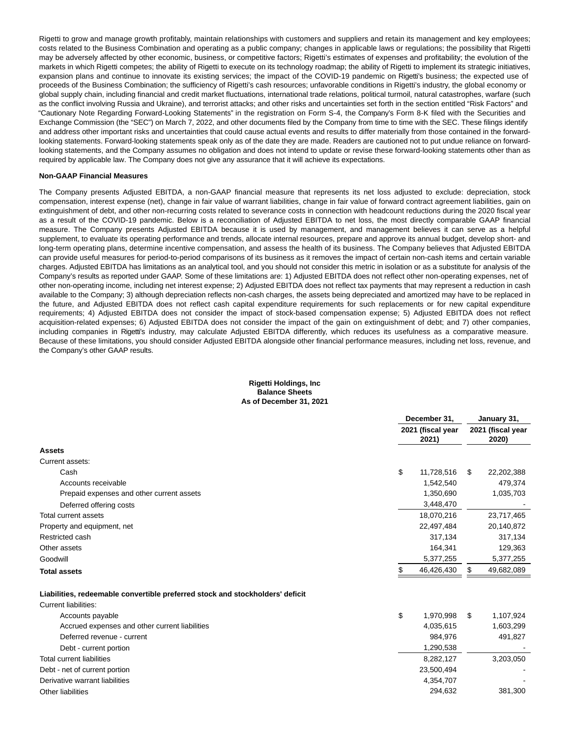Rigetti to grow and manage growth profitably, maintain relationships with customers and suppliers and retain its management and key employees; costs related to the Business Combination and operating as a public company; changes in applicable laws or regulations; the possibility that Rigetti may be adversely affected by other economic, business, or competitive factors; Rigetti's estimates of expenses and profitability; the evolution of the markets in which Rigetti competes; the ability of Rigetti to execute on its technology roadmap; the ability of Rigetti to implement its strategic initiatives, expansion plans and continue to innovate its existing services; the impact of the COVID-19 pandemic on Rigetti's business; the expected use of proceeds of the Business Combination; the sufficiency of Rigetti's cash resources; unfavorable conditions in Rigetti's industry, the global economy or global supply chain, including financial and credit market fluctuations, international trade relations, political turmoil, natural catastrophes, warfare (such as the conflict involving Russia and Ukraine), and terrorist attacks; and other risks and uncertainties set forth in the section entitled "Risk Factors" and "Cautionary Note Regarding Forward-Looking Statements" in the registration on Form S-4, the Company's Form 8-K filed with the Securities and Exchange Commission (the "SEC") on March 7, 2022, and other documents filed by the Company from time to time with the SEC. These filings identify and address other important risks and uncertainties that could cause actual events and results to differ materially from those contained in the forwardlooking statements. Forward-looking statements speak only as of the date they are made. Readers are cautioned not to put undue reliance on forwardlooking statements, and the Company assumes no obligation and does not intend to update or revise these forward-looking statements other than as required by applicable law. The Company does not give any assurance that it will achieve its expectations.

#### **Non-GAAP Financial Measures**

The Company presents Adjusted EBITDA, a non-GAAP financial measure that represents its net loss adjusted to exclude: depreciation, stock compensation, interest expense (net), change in fair value of warrant liabilities, change in fair value of forward contract agreement liabilities, gain on extinguishment of debt, and other non-recurring costs related to severance costs in connection with headcount reductions during the 2020 fiscal year as a result of the COVID-19 pandemic. Below is a reconciliation of Adjusted EBITDA to net loss, the most directly comparable GAAP financial measure. The Company presents Adjusted EBITDA because it is used by management, and management believes it can serve as a helpful supplement, to evaluate its operating performance and trends, allocate internal resources, prepare and approve its annual budget, develop short- and long-term operating plans, determine incentive compensation, and assess the health of its business. The Company believes that Adjusted EBITDA can provide useful measures for period-to-period comparisons of its business as it removes the impact of certain non-cash items and certain variable charges. Adjusted EBITDA has limitations as an analytical tool, and you should not consider this metric in isolation or as a substitute for analysis of the Company's results as reported under GAAP. Some of these limitations are: 1) Adjusted EBITDA does not reflect other non-operating expenses, net of other non-operating income, including net interest expense; 2) Adjusted EBITDA does not reflect tax payments that may represent a reduction in cash available to the Company; 3) although depreciation reflects non-cash charges, the assets being depreciated and amortized may have to be replaced in the future, and Adjusted EBITDA does not reflect cash capital expenditure requirements for such replacements or for new capital expenditure requirements; 4) Adjusted EBITDA does not consider the impact of stock-based compensation expense; 5) Adjusted EBITDA does not reflect acquisition-related expenses; 6) Adjusted EBITDA does not consider the impact of the gain on extinguishment of debt; and 7) other companies, including companies in Rigetti's industry, may calculate Adjusted EBITDA differently, which reduces its usefulness as a comparative measure. Because of these limitations, you should consider Adjusted EBITDA alongside other financial performance measures, including net loss, revenue, and the Company's other GAAP results.

#### **Rigetti Holdings, Inc Balance Sheets As of December 31, 2021**

|                                                                               |    | December 31,               |    | January 31,                |  |
|-------------------------------------------------------------------------------|----|----------------------------|----|----------------------------|--|
|                                                                               |    | 2021 (fiscal year<br>2021) |    | 2021 (fiscal year<br>2020) |  |
| <b>Assets</b>                                                                 |    |                            |    |                            |  |
| Current assets:                                                               |    |                            |    |                            |  |
| Cash                                                                          | \$ | 11,728,516                 | \$ | 22,202,388                 |  |
| Accounts receivable                                                           |    | 1,542,540                  |    | 479,374                    |  |
| Prepaid expenses and other current assets                                     |    | 1,350,690                  |    | 1,035,703                  |  |
| Deferred offering costs                                                       |    | 3,448,470                  |    |                            |  |
| Total current assets                                                          |    | 18,070,216                 |    | 23,717,465                 |  |
| Property and equipment, net                                                   |    | 22,497,484                 |    | 20,140,872                 |  |
| Restricted cash                                                               |    | 317,134                    |    | 317,134                    |  |
| Other assets                                                                  |    | 164,341                    |    | 129,363                    |  |
| Goodwill                                                                      |    | 5,377,255                  |    | 5,377,255                  |  |
| <b>Total assets</b>                                                           |    | 46,426,430                 | \$ | 49,682,089                 |  |
| Liabilities, redeemable convertible preferred stock and stockholders' deficit |    |                            |    |                            |  |
| Current liabilities:                                                          |    |                            |    |                            |  |
| Accounts payable                                                              | \$ | 1,970,998                  | \$ | 1,107,924                  |  |
| Accrued expenses and other current liabilities                                |    | 4,035,615                  |    | 1,603,299                  |  |
| Deferred revenue - current                                                    |    | 984,976                    |    | 491,827                    |  |
| Debt - current portion                                                        |    | 1,290,538                  |    |                            |  |
| <b>Total current liabilities</b>                                              |    | 8,282,127                  |    | 3,203,050                  |  |
| Debt - net of current portion                                                 |    | 23,500,494                 |    |                            |  |
| Derivative warrant liabilities                                                |    | 4,354,707                  |    |                            |  |
| Other liabilities                                                             |    | 294,632                    |    | 381,300                    |  |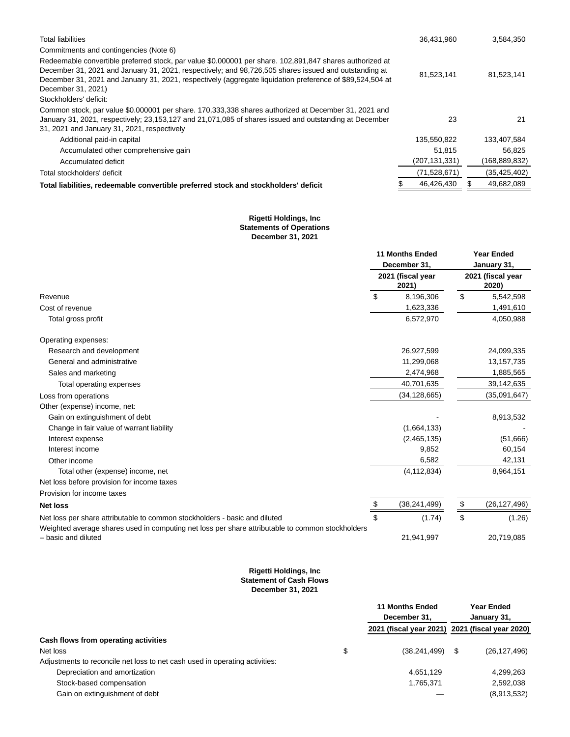| <b>Total liabilities</b>                                                                                                                                                                                                                                                                                                                             | 36,431,960      | 3,584,350      |
|------------------------------------------------------------------------------------------------------------------------------------------------------------------------------------------------------------------------------------------------------------------------------------------------------------------------------------------------------|-----------------|----------------|
| Commitments and contingencies (Note 6)                                                                                                                                                                                                                                                                                                               |                 |                |
| Redeemable convertible preferred stock, par value \$0.000001 per share. 102,891,847 shares authorized at<br>December 31, 2021 and January 31, 2021, respectively; and 98,726,505 shares issued and outstanding at<br>December 31, 2021 and January 31, 2021, respectively (aggregate liquidation preference of \$89,524,504 at<br>December 31, 2021) | 81,523,141      | 81,523,141     |
| Stockholders' deficit:                                                                                                                                                                                                                                                                                                                               |                 |                |
| Common stock, par value \$0.000001 per share. 170,333,338 shares authorized at December 31, 2021 and<br>January 31, 2021, respectively; 23,153,127 and 21,071,085 of shares issued and outstanding at December<br>31, 2021 and January 31, 2021, respectively                                                                                        | 23              | 21             |
| Additional paid-in capital                                                                                                                                                                                                                                                                                                                           | 135,550,822     | 133,407,584    |
| Accumulated other comprehensive gain                                                                                                                                                                                                                                                                                                                 | 51.815          | 56.825         |
| Accumulated deficit                                                                                                                                                                                                                                                                                                                                  | (207, 131, 331) | (168,889,832)  |
| Total stockholders' deficit                                                                                                                                                                                                                                                                                                                          | (71,528,671)    | (35, 425, 402) |
| Total liabilities, redeemable convertible preferred stock and stockholders' deficit                                                                                                                                                                                                                                                                  | 46,426,430      | 49,682,089     |

#### **Rigetti Holdings, Inc Statements of Operations December 31, 2021**

|                                                                                                                         |    | <b>11 Months Ended</b><br>December 31, | <b>Year Ended</b><br>January 31, |              |  |
|-------------------------------------------------------------------------------------------------------------------------|----|----------------------------------------|----------------------------------|--------------|--|
|                                                                                                                         |    | 2021 (fiscal year<br>2021)             | 2021 (fiscal year<br>2020)       |              |  |
| Revenue                                                                                                                 | \$ | 8,196,306                              | \$                               | 5,542,598    |  |
| Cost of revenue                                                                                                         |    | 1,623,336                              |                                  | 1,491,610    |  |
| Total gross profit                                                                                                      |    | 6,572,970                              |                                  | 4,050,988    |  |
| Operating expenses:                                                                                                     |    |                                        |                                  |              |  |
| Research and development                                                                                                |    | 26,927,599                             |                                  | 24,099,335   |  |
| General and administrative                                                                                              |    | 11,299,068                             |                                  | 13, 157, 735 |  |
| Sales and marketing                                                                                                     |    | 2,474,968                              |                                  | 1,885,565    |  |
| Total operating expenses                                                                                                |    | 40,701,635                             |                                  | 39,142,635   |  |
| Loss from operations                                                                                                    |    | (34, 128, 665)                         |                                  | (35,091,647) |  |
| Other (expense) income, net:                                                                                            |    |                                        |                                  |              |  |
| Gain on extinguishment of debt                                                                                          |    |                                        |                                  | 8,913,532    |  |
| Change in fair value of warrant liability                                                                               |    | (1,664,133)                            |                                  |              |  |
| Interest expense                                                                                                        |    | (2,465,135)                            |                                  | (51,666)     |  |
| Interest income                                                                                                         |    | 9,852                                  |                                  | 60,154       |  |
| Other income                                                                                                            |    | 6,582                                  |                                  | 42,131       |  |
| Total other (expense) income, net                                                                                       |    | (4, 112, 834)                          |                                  | 8,964,151    |  |
| Net loss before provision for income taxes                                                                              |    |                                        |                                  |              |  |
| Provision for income taxes                                                                                              |    |                                        |                                  |              |  |
| <b>Net loss</b>                                                                                                         | \$ | (38, 241, 499)                         | \$                               | (26,127,496) |  |
| Net loss per share attributable to common stockholders - basic and diluted                                              | \$ | (1.74)                                 | \$                               | (1.26)       |  |
| Weighted average shares used in computing net loss per share attributable to common stockholders<br>- basic and diluted |    | 21,941,997                             |                                  | 20,719,085   |  |

#### **Rigetti Holdings, Inc Statement of Cash Flows December 31, 2021**

|                                                                             | <b>11 Months Ended</b>                          | Year Ended     |
|-----------------------------------------------------------------------------|-------------------------------------------------|----------------|
|                                                                             | December 31.                                    | January 31,    |
|                                                                             | 2021 (fiscal year 2021) 2021 (fiscal year 2020) |                |
| Cash flows from operating activities                                        |                                                 |                |
| Net loss                                                                    | \$<br>(38, 241, 499)                            | (26, 127, 496) |
| Adjustments to reconcile net loss to net cash used in operating activities: |                                                 |                |
| Depreciation and amortization                                               | 4,651,129                                       | 4,299,263      |
| Stock-based compensation                                                    | 1,765,371                                       | 2,592,038      |
| Gain on extinguishment of debt                                              |                                                 | (8,913,532)    |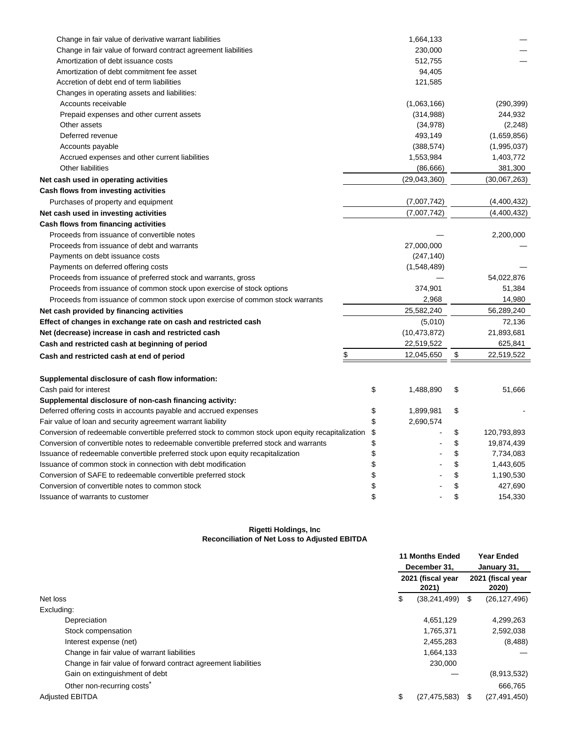| Change in fair value of derivative warrant liabilities                                            | 1,664,133       |                   |
|---------------------------------------------------------------------------------------------------|-----------------|-------------------|
| Change in fair value of forward contract agreement liabilities                                    | 230,000         |                   |
| Amortization of debt issuance costs                                                               | 512,755         |                   |
| Amortization of debt commitment fee asset                                                         | 94,405          |                   |
| Accretion of debt end of term liabilities                                                         | 121,585         |                   |
| Changes in operating assets and liabilities:                                                      |                 |                   |
| Accounts receivable                                                                               | (1,063,166)     | (290, 399)        |
| Prepaid expenses and other current assets                                                         | (314,988)       | 244,932           |
| Other assets                                                                                      | (34, 978)       | (2, 248)          |
| Deferred revenue                                                                                  | 493,149         | (1,659,856)       |
| Accounts payable                                                                                  | (388, 574)      | (1,995,037)       |
| Accrued expenses and other current liabilities                                                    | 1,553,984       | 1,403,772         |
| Other liabilities                                                                                 | (86, 666)       | 381,300           |
| Net cash used in operating activities                                                             | (29,043,360)    | (30,067,263)      |
| Cash flows from investing activities                                                              |                 |                   |
| Purchases of property and equipment                                                               | (7,007,742)     | (4,400,432)       |
| Net cash used in investing activities                                                             | (7,007,742)     | (4,400,432)       |
| Cash flows from financing activities                                                              |                 |                   |
| Proceeds from issuance of convertible notes                                                       |                 | 2,200,000         |
| Proceeds from issuance of debt and warrants                                                       | 27,000,000      |                   |
| Payments on debt issuance costs                                                                   | (247, 140)      |                   |
| Payments on deferred offering costs                                                               | (1,548,489)     |                   |
| Proceeds from issuance of preferred stock and warrants, gross                                     |                 | 54,022,876        |
| Proceeds from issuance of common stock upon exercise of stock options                             | 374,901         | 51,384            |
| Proceeds from issuance of common stock upon exercise of common stock warrants                     | 2,968           | 14,980            |
| Net cash provided by financing activities                                                         | 25,582,240      | 56,289,240        |
| Effect of changes in exchange rate on cash and restricted cash                                    | (5,010)         | 72,136            |
| Net (decrease) increase in cash and restricted cash                                               | (10, 473, 872)  | 21,893,681        |
| Cash and restricted cash at beginning of period                                                   | 22,519,522      | 625,841           |
| \$<br>Cash and restricted cash at end of period                                                   | 12,045,650      | \$<br>22,519,522  |
|                                                                                                   |                 |                   |
| Supplemental disclosure of cash flow information:                                                 |                 |                   |
| Cash paid for interest                                                                            | \$<br>1,488,890 | \$<br>51,666      |
| Supplemental disclosure of non-cash financing activity:                                           |                 |                   |
| Deferred offering costs in accounts payable and accrued expenses                                  | \$<br>1,899,981 | \$                |
| Fair value of loan and security agreement warrant liability                                       | \$<br>2,690,574 |                   |
| Conversion of redeemable convertible preferred stock to common stock upon equity recapitalization | \$              | \$<br>120,793,893 |
| Conversion of convertible notes to redeemable convertible preferred stock and warrants            | \$              | \$<br>19,874,439  |
| Issuance of redeemable convertible preferred stock upon equity recapitalization                   | \$              | \$<br>7,734,083   |
| Issuance of common stock in connection with debt modification                                     | \$              | \$<br>1,443,605   |
| Conversion of SAFE to redeemable convertible preferred stock                                      | \$              | \$<br>1,190,530   |
| Conversion of convertible notes to common stock                                                   | \$              | \$<br>427,690     |
| Issuance of warrants to customer                                                                  | \$              | \$<br>154,330     |
|                                                                                                   |                 |                   |

## **Rigetti Holdings, Inc Reconciliation of Net Loss to Adjusted EBITDA**

|                                                                | <b>11 Months Ended</b><br>December 31, |                            | <b>Year Ended</b><br>January 31, |                            |
|----------------------------------------------------------------|----------------------------------------|----------------------------|----------------------------------|----------------------------|
|                                                                |                                        | 2021 (fiscal year<br>2021) |                                  | 2021 (fiscal year<br>2020) |
| Net loss                                                       | \$                                     | (38, 241, 499)             | \$                               | (26, 127, 496)             |
| Excluding:                                                     |                                        |                            |                                  |                            |
| Depreciation                                                   |                                        | 4,651,129                  |                                  | 4,299,263                  |
| Stock compensation                                             |                                        | 1,765,371                  |                                  | 2,592,038                  |
| Interest expense (net)                                         |                                        | 2,455,283                  |                                  | (8, 488)                   |
| Change in fair value of warrant liabilities                    |                                        | 1,664,133                  |                                  |                            |
| Change in fair value of forward contract agreement liabilities |                                        | 230,000                    |                                  |                            |
| Gain on extinguishment of debt                                 |                                        |                            |                                  | (8,913,532)                |
| Other non-recurring costs <sup>®</sup>                         |                                        |                            |                                  | 666,765                    |
| <b>Adjusted EBITDA</b>                                         | \$                                     | (27, 475, 583)             | \$.                              | (27, 491, 450)             |